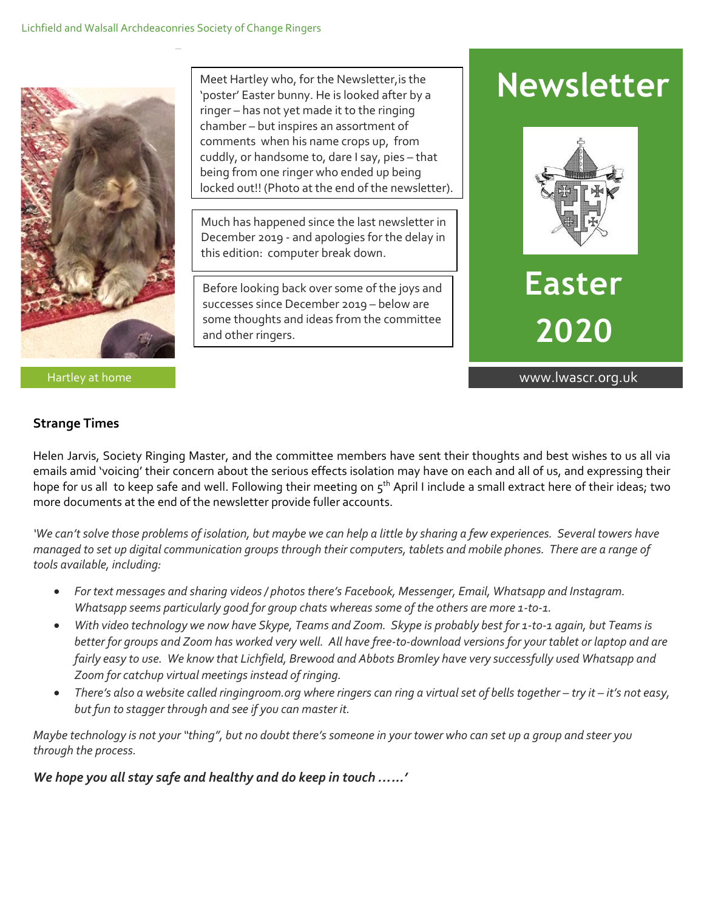

Meet Hartley who, for the Newsletter,is the 'poster' Easter bunny. He is looked after by a ringer – has not yet made it to the ringing chamber – but inspires an assortment of comments when his name crops up, from cuddly, or handsome to, dare I say, pies – that being from one ringer who ended up being locked out!! (Photo at the end of the newsletter).

Much has happened since the last newsletter in December 2019 - and apologies for the delay in this edition: computer break down.

Before looking back over some of the joys and successes since December 2019 – below are some thoughts and ideas from the committee and other ringers.

# **Newsletter**



**Easter 2020**

Hartley at home www.lwascr.org.uk

# **Strange Times**

Helen Jarvis, Society Ringing Master, and the committee members have sent their thoughts and best wishes to us all via emails amid 'voicing' their concern about the serious effects isolation may have on each and all of us, and expressing their hope for us all to keep safe and well. Following their meeting on 5<sup>th</sup> April I include a small extract here of their ideas; two more documents at the end of the newsletter provide fuller accounts.

*'We can't solve those problems of isolation, but maybe we can help a little by sharing a few experiences. Several towers have managed to set up digital communication groups through their computers, tablets and mobile phones. There are a range of tools available, including:*

- *For text messages and sharing videos / photos there's Facebook, Messenger, Email, Whatsapp and Instagram. Whatsapp seems particularly good for group chats whereas some of the others are more 1-to-1.*
- *With video technology we now have Skype, Teams and Zoom. Skype is probably best for 1-to-1 again, but Teams is better for groups and Zoom has worked very well. All have free-to-download versions for your tablet or laptop and are fairly easy to use. We know that Lichfield, Brewood and Abbots Bromley have very successfully used Whatsapp and Zoom for catchup virtual meetings instead of ringing.*
- *There's also a website called ringingroom.org where ringers can ring a virtual set of bells together try it it's not easy, but fun to stagger through and see if you can master it.*

*Maybe technology is not your "thing", but no doubt there's someone in your tower who can set up a group and steer you through the process.*

*We hope you all stay safe and healthy and do keep in touch …...'*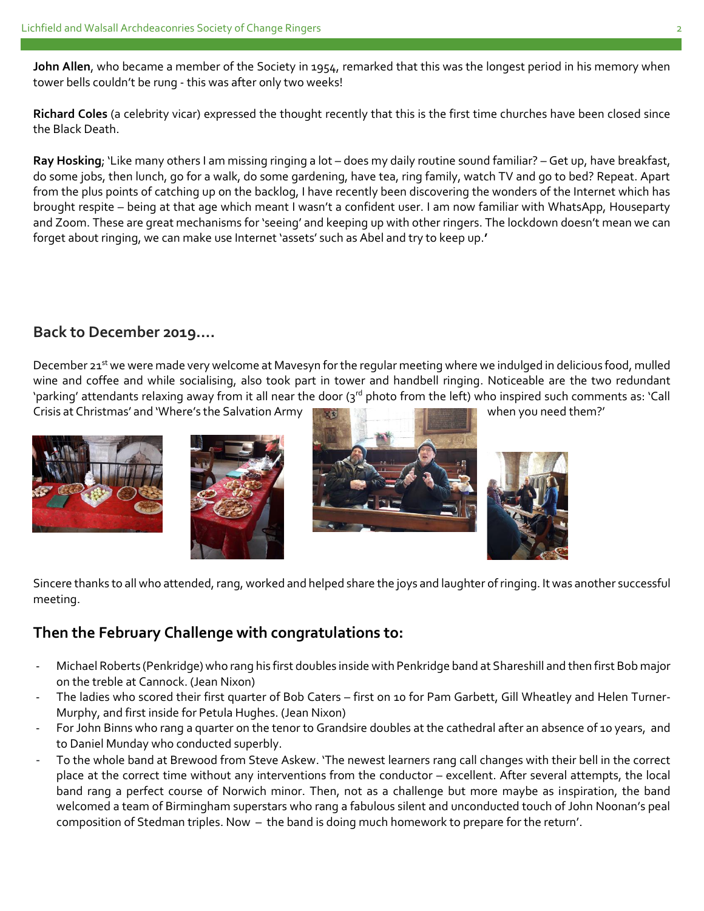**John Allen**, who became a member of the Society in 1954, remarked that this was the longest period in his memory when tower bells couldn't be rung - this was after only two weeks!

**Richard Coles** (a celebrity vicar) expressed the thought recently that this is the first time churches have been closed since the Black Death.

**Ray Hosking**; 'Like many others I am missing ringing a lot – does my daily routine sound familiar? – Get up, have breakfast, do some jobs, then lunch, go for a walk, do some gardening, have tea, ring family, watch TV and go to bed? Repeat. Apart from the plus points of catching up on the backlog, I have recently been discovering the wonders of the Internet which has brought respite – being at that age which meant I wasn't a confident user. I am now familiar with WhatsApp, Houseparty and Zoom. These are great mechanisms for 'seeing' and keeping up with other ringers. The lockdown doesn't mean we can forget about ringing, we can make use Internet 'assets' such as Abel and try to keep up.**'** 

# **Back to December 2019….**

December 21<sup>st</sup> we were made very welcome at Mavesyn for the regular meeting where we indulged in delicious food, mulled wine and coffee and while socialising, also took part in tower and handbell ringing. Noticeable are the two redundant 'parking' attendants relaxing away from it all near the door (3rd photo from the left) who inspired such comments as: 'Call Crisis at Christmas' and 'Where's the Salvation Army when you need them?'









Sincere thanks to all who attended, rang, worked and helped share the joys and laughter of ringing. It was another successful meeting.

# **Then the February Challenge with congratulations to:**

- Michael Roberts (Penkridge) who rang his first doubles inside with Penkridge band at Shareshill and then first Bob major on the treble at Cannock. (Jean Nixon)
- The ladies who scored their first quarter of Bob Caters first on 10 for Pam Garbett, Gill Wheatley and Helen Turner-Murphy, and first inside for Petula Hughes. (Jean Nixon)
- For John Binns who rang a quarter on the tenor to Grandsire doubles at the cathedral after an absence of 10 years, and to Daniel Munday who conducted superbly.
- To the whole band at Brewood from Steve Askew. 'The newest learners rang call changes with their bell in the correct place at the correct time without any interventions from the conductor – excellent. After several attempts, the local band rang a perfect course of Norwich minor. Then, not as a challenge but more maybe as inspiration, the band welcomed a team of Birmingham superstars who rang a fabulous silent and unconducted touch of John Noonan's peal composition of Stedman triples. Now – the band is doing much homework to prepare for the return'.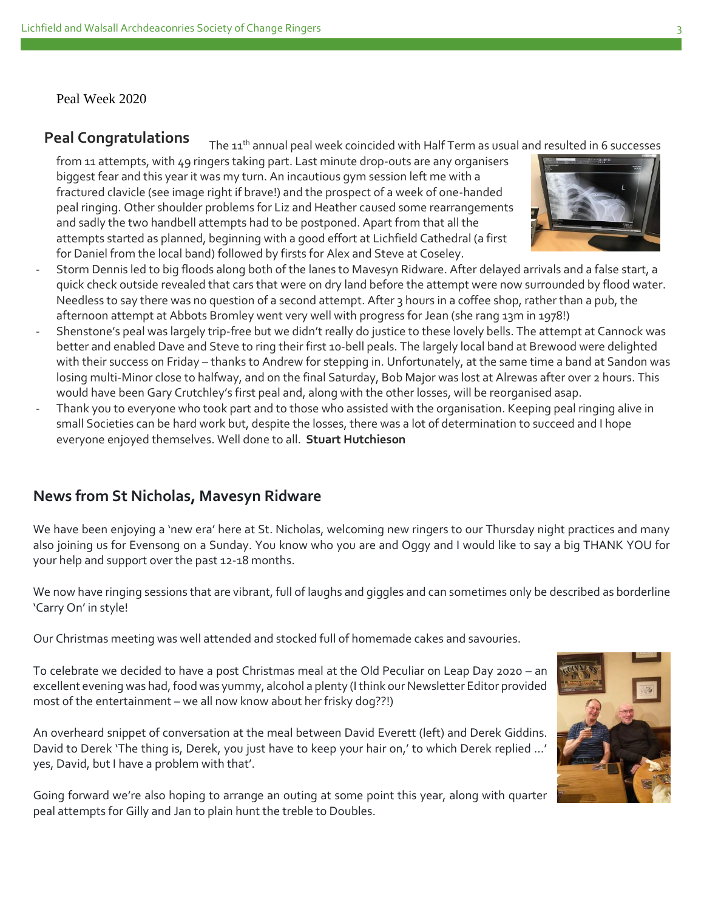Peal Week 2020

# **Peal Congratulations**

The 11<sup>th</sup> annual peal week coincided with Half Term as usual and resulted in 6 successes from 11 attempts, with 49 ringers taking part. Last minute drop-outs are any organisers biggest fear and this year it was my turn. An incautious gym session left me with a fractured clavicle (see image right if brave!) and the prospect of a week of one-handed peal ringing. Other shoulder problems for Liz and Heather caused some rearrangements and sadly the two handbell attempts had to be postponed. Apart from that all the attempts started as planned, beginning with a good effort at Lichfield Cathedral (a first for Daniel from the local band) followed by firsts for Alex and Steve at Coseley.



- afternoon attempt at Abbots Bromley went very well with progress for Jean (she rang 13m in 1978!) Shenstone's peal was largely trip-free but we didn't really do justice to these lovely bells. The attempt at Cannock was better and enabled Dave and Steve to ring their first 10-bell peals. The largely local band at Brewood were delighted with their success on Friday – thanks to Andrew for stepping in. Unfortunately, at the same time a band at Sandon was losing multi-Minor close to halfway, and on the final Saturday, Bob Major was lost at Alrewas after over 2 hours. This would have been Gary Crutchley's first peal and, along with the other losses, will be reorganised asap.
- Thank you to everyone who took part and to those who assisted with the organisation. Keeping peal ringing alive in small Societies can be hard work but, despite the losses, there was a lot of determination to succeed and I hope everyone enjoyed themselves. Well done to all. **Stuart Hutchieson**

# **News from St Nicholas, Mavesyn Ridware**

We have been enjoying a 'new era' here at St. Nicholas, welcoming new ringers to our Thursday night practices and many also joining us for Evensong on a Sunday. You know who you are and Oggy and I would like to say a big THANK YOU for your help and support over the past 12-18 months.

We now have ringing sessions that are vibrant, full of laughs and giggles and can sometimes only be described as borderline 'Carry On' in style!

Our Christmas meeting was well attended and stocked full of homemade cakes and savouries.

To celebrate we decided to have a post Christmas meal at the Old Peculiar on Leap Day 2020 – an excellent evening was had, food was yummy, alcohol a plenty (I think our Newsletter Editor provided most of the entertainment – we all now know about her frisky dog??!)

An overheard snippet of conversation at the meal between David Everett (left) and Derek Giddins. David to Derek 'The thing is, Derek, you just have to keep your hair on,' to which Derek replied …' yes, David, but I have a problem with that'.

Going forward we're also hoping to arrange an outing at some point this year, along with quarter peal attempts for Gilly and Jan to plain hunt the treble to Doubles.

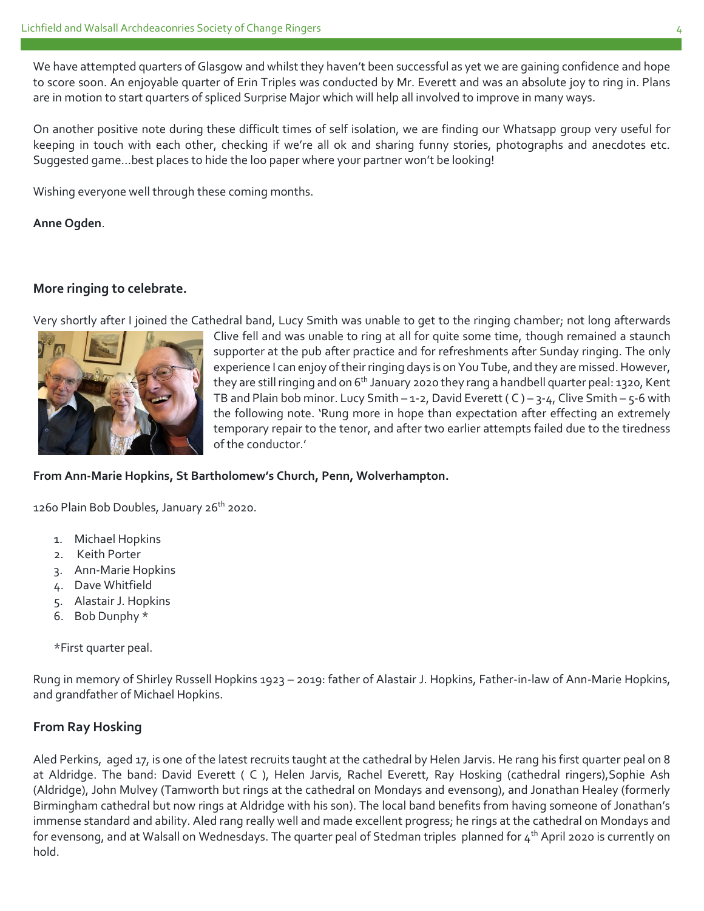We have attempted quarters of Glasgow and whilst they haven't been successful as yet we are gaining confidence and hope to score soon. An enjoyable quarter of Erin Triples was conducted by Mr. Everett and was an absolute joy to ring in. Plans are in motion to start quarters of spliced Surprise Major which will help all involved to improve in many ways.

On another positive note during these difficult times of self isolation, we are finding our Whatsapp group very useful for keeping in touch with each other, checking if we're all ok and sharing funny stories, photographs and anecdotes etc. Suggested game…best places to hide the loo paper where your partner won't be looking!

Wishing everyone well through these coming months.

**Anne Ogden**.

# **More ringing to celebrate.**

Very shortly after I joined the Cathedral band, Lucy Smith was unable to get to the ringing chamber; not long afterwards



Clive fell and was unable to ring at all for quite some time, though remained a staunch supporter at the pub after practice and for refreshments after Sunday ringing. The only experience I can enjoy of their ringing days is on You Tube, and they are missed. However, they are still ringing and on 6<sup>th</sup> January 2020 they rang a handbell quarter peal: 1320, Kent TB and Plain bob minor. Lucy Smith – 1-2, David Everett (C) – 3-4, Clive Smith – 5-6 with the following note. 'Rung more in hope than expectation after effecting an extremely temporary repair to the tenor, and after two earlier attempts failed due to the tiredness of the conductor.'

### **From Ann-Marie Hopkins, St Bartholomew's Church, Penn, Wolverhampton.**

1260 Plain Bob Doubles, January 26<sup>th</sup> 2020.

- 1. Michael Hopkins
- 2. Keith Porter
- 3. Ann-Marie Hopkins
- 4. Dave Whitfield
- 5. Alastair J. Hopkins
- 6. Bob Dunphy \*

\*First quarter peal.

Rung in memory of Shirley Russell Hopkins 1923 – 2019: father of Alastair J. Hopkins, Father-in-law of Ann-Marie Hopkins, and grandfather of Michael Hopkins.

# **From Ray Hosking**

Aled Perkins, aged 17, is one of the latest recruits taught at the cathedral by Helen Jarvis. He rang his first quarter peal on 8 at Aldridge. The band: David Everett ( C ), Helen Jarvis, Rachel Everett, Ray Hosking (cathedral ringers),Sophie Ash (Aldridge), John Mulvey (Tamworth but rings at the cathedral on Mondays and evensong), and Jonathan Healey (formerly Birmingham cathedral but now rings at Aldridge with his son). The local band benefits from having someone of Jonathan's immense standard and ability. Aled rang really well and made excellent progress; he rings at the cathedral on Mondays and for evensong, and at Walsall on Wednesdays. The quarter peal of Stedman triples planned for 4<sup>th</sup> April 2020 is currently on hold.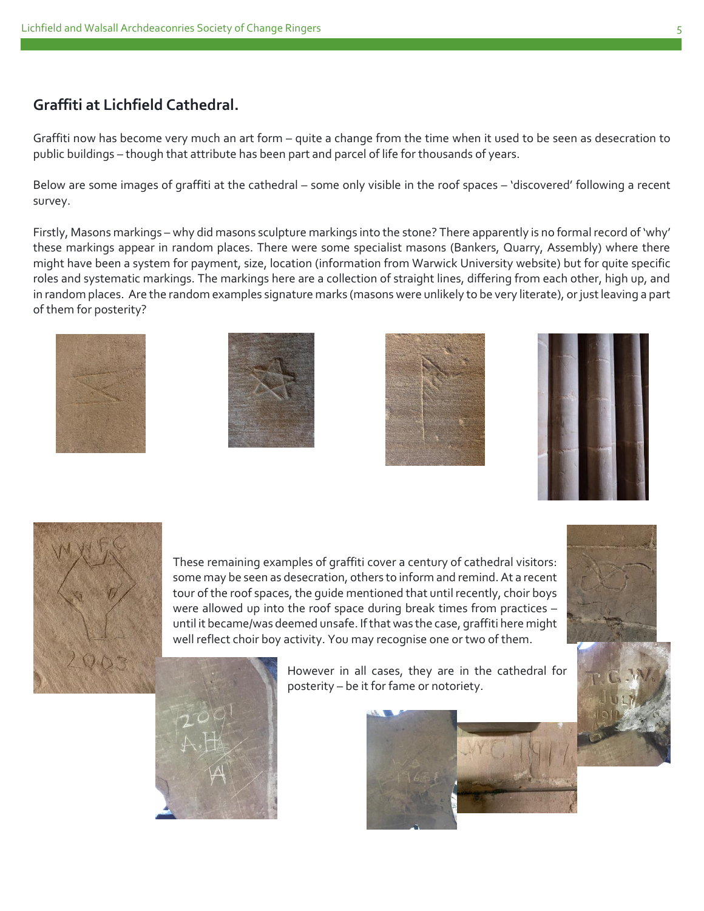# **Graffiti at Lichfield Cathedral.**

Graffiti now has become very much an art form – quite a change from the time when it used to be seen as desecration to public buildings – though that attribute has been part and parcel of life for thousands of years.

Below are some images of graffiti at the cathedral – some only visible in the roof spaces – 'discovered' following a recent survey.

Firstly, Masons markings – why did masons sculpture markings into the stone? There apparently is no formal record of 'why' these markings appear in random places. There were some specialist masons (Bankers, Quarry, Assembly) where there might have been a system for payment, size, location (information from Warwick University website) but for quite specific roles and systematic markings. The markings here are a collection of straight lines, differing from each other, high up, and in random places. Are the random examples signature marks (masons were unlikely to be very literate), or just leaving a part of them for posterity?











These remaining examples of graffiti cover a century of cathedral visitors: some may be seen as desecration, others to inform and remind. At a recent tour of the roof spaces, the guide mentioned that until recently, choir boys were allowed up into the roof space during break times from practices – until it became/was deemed unsafe. If that was the case, graffiti here might well reflect choir boy activity. You may recognise one or two of them.



However in all cases, they are in the cathedral for posterity – be it for fame or notoriety.



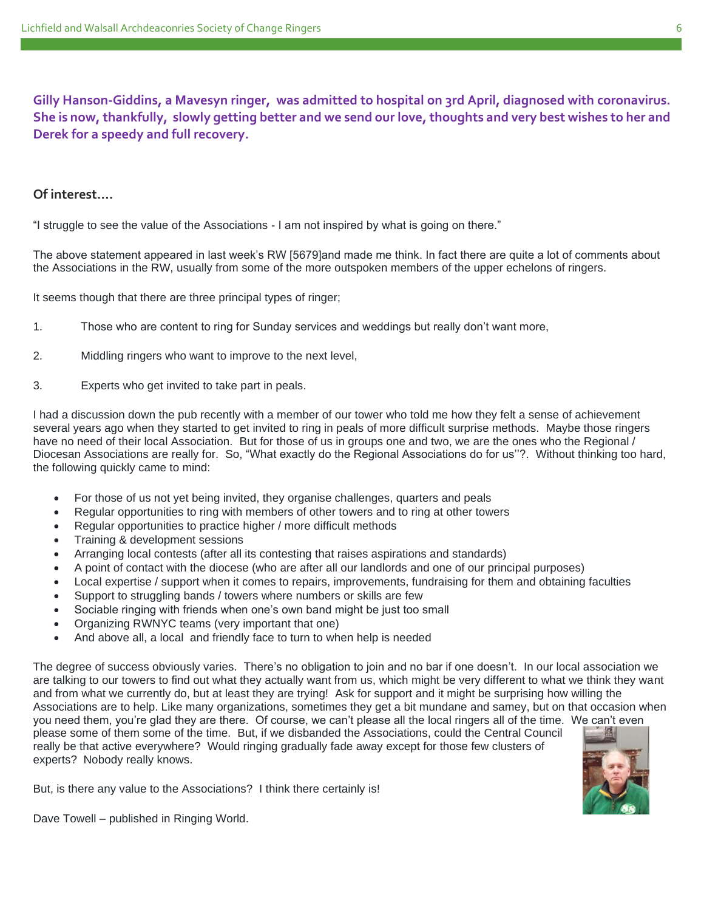**Gilly Hanson-Giddins, a Mavesyn ringer, was admitted to hospital on 3rd April, diagnosed with coronavirus. She is now, thankfully, slowly getting better and we send our love, thoughts and very best wishes to her and Derek for a speedy and full recovery.**

#### **Of interest….**

"I struggle to see the value of the Associations - I am not inspired by what is going on there."

The above statement appeared in last week's RW [5679]and made me think. In fact there are quite a lot of comments about the Associations in the RW, usually from some of the more outspoken members of the upper echelons of ringers.

It seems though that there are three principal types of ringer;

- 1. Those who are content to ring for Sunday services and weddings but really don't want more,
- 2. Middling ringers who want to improve to the next level,
- 3. Experts who get invited to take part in peals.

I had a discussion down the pub recently with a member of our tower who told me how they felt a sense of achievement several years ago when they started to get invited to ring in peals of more difficult surprise methods. Maybe those ringers have no need of their local Association. But for those of us in groups one and two, we are the ones who the Regional / Diocesan Associations are really for. So, "What exactly do the Regional Associations do for us''?. Without thinking too hard, the following quickly came to mind:

- For those of us not yet being invited, they organise challenges, quarters and peals
- Regular opportunities to ring with members of other towers and to ring at other towers
- Regular opportunities to practice higher / more difficult methods
- Training & development sessions
- Arranging local contests (after all its contesting that raises aspirations and standards)
- A point of contact with the diocese (who are after all our landlords and one of our principal purposes)
- Local expertise / support when it comes to repairs, improvements, fundraising for them and obtaining faculties
- Support to struggling bands / towers where numbers or skills are few
- Sociable ringing with friends when one's own band might be just too small
- Organizing RWNYC teams (very important that one)
- And above all, a local and friendly face to turn to when help is needed

The degree of success obviously varies. There's no obligation to join and no bar if one doesn't. In our local association we are talking to our towers to find out what they actually want from us, which might be very different to what we think they want and from what we currently do, but at least they are trying! Ask for support and it might be surprising how willing the Associations are to help. Like many organizations, sometimes they get a bit mundane and samey, but on that occasion when you need them, you're glad they are there. Of course, we can't please all the local ringers all of the time. We can't even

please some of them some of the time. But, if we disbanded the Associations, could the Central Council really be that active everywhere? Would ringing gradually fade away except for those few clusters of experts? Nobody really knows.

But, is there any value to the Associations? I think there certainly is!

Dave Towell – published in Ringing World.

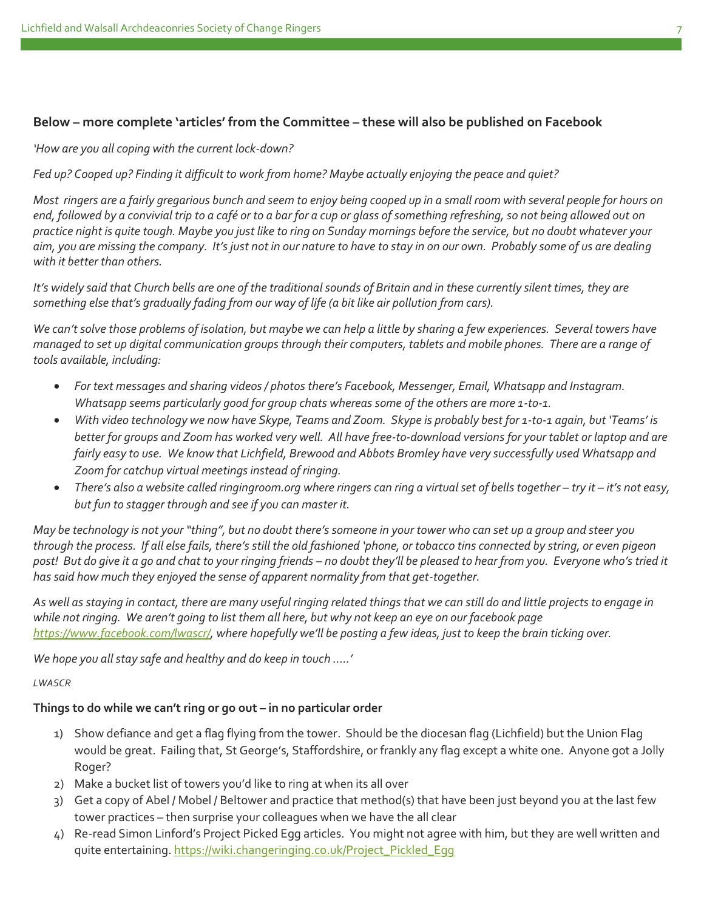# **Below – more complete 'articles' from the Committee – these will also be published on Facebook**

*'How are you all coping with the current lock-down?* 

*Fed up? Cooped up? Finding it difficult to work from home? Maybe actually enjoying the peace and quiet?*

*Most ringers are a fairly gregarious bunch and seem to enjoy being cooped up in a small room with several people for hours on end, followed by a convivial trip to a café or to a bar for a cup or glass of something refreshing, so not being allowed out on practice night is quite tough. Maybe you just like to ring on Sunday mornings before the service, but no doubt whatever your aim, you are missing the company. It's just not in our nature to have to stay in on our own. Probably some of us are dealing with it better than others.*

*It's widely said that Church bells are one of the traditional sounds of Britain and in these currently silent times, they are something else that's gradually fading from our way of life (a bit like air pollution from cars).*

*We can't solve those problems of isolation, but maybe we can help a little by sharing a few experiences. Several towers have managed to set up digital communication groups through their computers, tablets and mobile phones. There are a range of tools available, including:*

- *For text messages and sharing videos / photos there's Facebook, Messenger, Email, Whatsapp and Instagram. Whatsapp seems particularly good for group chats whereas some of the others are more 1-to-1.*
- *With video technology we now have Skype, Teams and Zoom. Skype is probably best for 1-to-1 again, but 'Teams' is better for groups and Zoom has worked very well. All have free-to-download versions for your tablet or laptop and are fairly easy to use. We know that Lichfield, Brewood and Abbots Bromley have very successfully used Whatsapp and Zoom for catchup virtual meetings instead of ringing.*
- There's also a website called ringingroom.org where ringers can ring a virtual set of bells together try it it's not easy, *but fun to stagger through and see if you can master it.*

*May be technology is not your "thing", but no doubt there's someone in your tower who can set up a group and steer you through the process. If all else fails, there's still the old fashioned 'phone, or tobacco tins connected by string, or even pigeon post! But do give it a go and chat to your ringing friends – no doubt they'll be pleased to hear from you. Everyone who's tried it has said how much they enjoyed the sense of apparent normality from that get-together.*

*As well as staying in contact, there are many useful ringing related things that we can still do and little projects to engage in while not ringing. We aren't going to list them all here, but why not keep an eye on our facebook page <https://www.facebook.com/lwascr/>, where hopefully we'll be posting a few ideas, just to keep the brain ticking over.*

*We hope you all stay safe and healthy and do keep in touch …..'*

#### *LWASCR*

### **Things to do while we can't ring or go out – in no particular order**

- 1) Show defiance and get a flag flying from the tower. Should be the diocesan flag (Lichfield) but the Union Flag would be great. Failing that, St George's, Staffordshire, or frankly any flag except a white one. Anyone got a Jolly Roger?
- 2) Make a bucket list of towers you'd like to ring at when its all over
- 3) Get a copy of Abel / Mobel / Beltower and practice that method(s) that have been just beyond you at the last few tower practices – then surprise your colleagues when we have the all clear
- 4) Re-read Simon Linford's Project Picked Egg articles. You might not agree with him, but they are well written and quite entertaining[. https://wiki.changeringing.co.uk/Project\\_Pickled\\_Egg](https://wiki.changeringing.co.uk/Project_Pickled_Egg)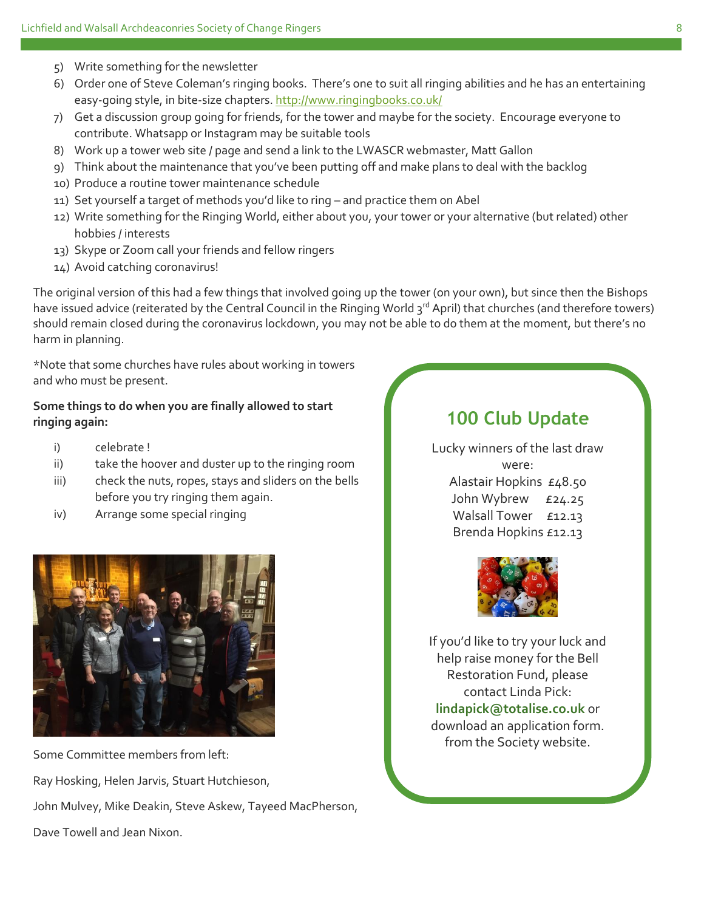- 5) Write something for the newsletter
- 6) Order one of Steve Coleman's ringing books. There's one to suit all ringing abilities and he has an entertaining easy-going style, in bite-size chapters.<http://www.ringingbooks.co.uk/>
- 7) Get a discussion group going for friends, for the tower and maybe for the society. Encourage everyone to contribute. Whatsapp or Instagram may be suitable tools
- 8) Work up a tower web site / page and send a link to the LWASCR webmaster, Matt Gallon
- 9) Think about the maintenance that you've been putting off and make plans to deal with the backlog
- 10) Produce a routine tower maintenance schedule
- 11) Set yourself a target of methods you'd like to ring and practice them on Abel
- 12) Write something for the Ringing World, either about you, your tower or your alternative (but related) other hobbies / interests
- 13) Skype or Zoom call your friends and fellow ringers
- 14) Avoid catching coronavirus!

The original version of this had a few things that involved going up the tower (on your own), but since then the Bishops have issued advice (reiterated by the Central Council in the Ringing World 3<sup>rd</sup> April) that churches (and therefore towers) should remain closed during the coronavirus lockdown, you may not be able to do them at the moment, but there's no harm in planning.

\*Note that some churches have rules about working in towers and who must be present.

## **Some things to do when you are finally allowed to start ringing again:**

- i) celebrate !
- ii) take the hoover and duster up to the ringing room
- iii) check the nuts, ropes, stays and sliders on the bells before you try ringing them again.
- iv) Arrange some special ringing



Some Committee members from left: Ray Hosking, Helen Jarvis, Stuart Hutchieson, John Mulvey, Mike Deakin, Steve Askew, Tayeed MacPherson, Dave Towell and Jean Nixon.

# **100 Club Update**

Lucky winners of the last draw were: Alastair Hopkins £48.50 John Wybrew £24.25 Walsall Tower £12.13 Brenda Hopkins £12.13



If you'd like to try your luck and help raise money for the Bell Restoration Fund, please contact Linda Pick: **lindapick@totalise.co.uk** or download an application form. from the Society website.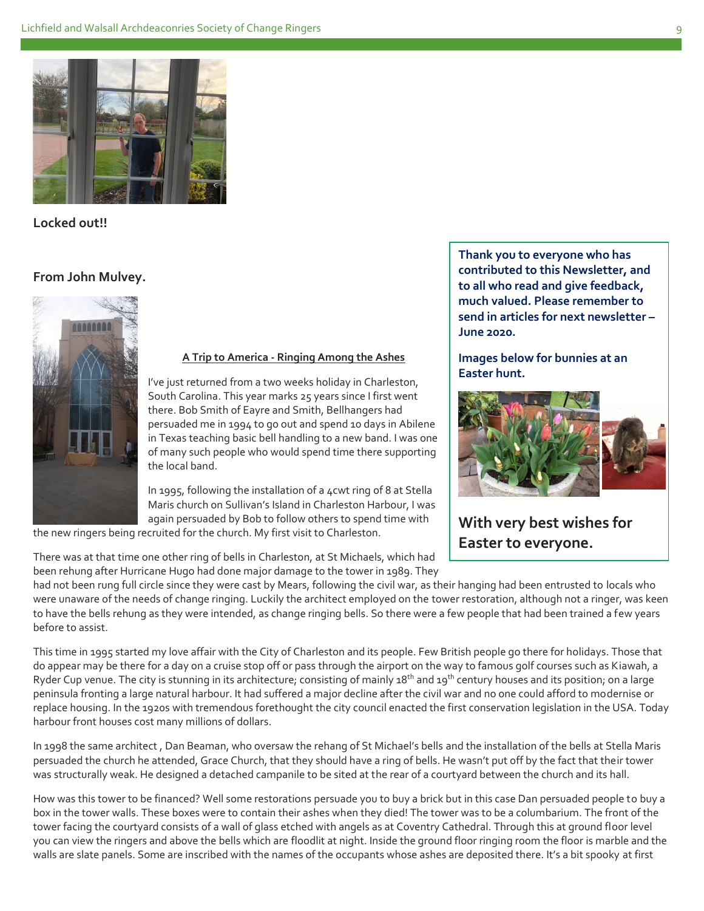

**Locked out!!**

#### **From John Mulvey.**



#### **A Trip to America - Ringing Among the Ashes**

I've just returned from a two weeks holiday in Charleston, South Carolina. This year marks 25 years since I first went there. Bob Smith of Eayre and Smith, Bellhangers had persuaded me in 1994 to go out and spend 10 days in Abilene in Texas teaching basic bell handling to a new band. I was one of many such people who would spend time there supporting the local band.

In 1995, following the installation of a 4cwt ring of 8 at Stella Maris church on Sullivan's Island in Charleston Harbour, I was again persuaded by Bob to follow others to spend time with the new ringers being recruited for the church. My first visit to Charleston.

There was at that time one other ring of bells in Charleston, at St Michaels, which had been rehung after Hurricane Hugo had done major damage to the tower in 1989. They

**Thank you to everyone who has contributed to this Newsletter, and to all who read and give feedback, much valued. Please remember to send in articles for next newsletter – June 2020.** 

**Images below for bunnies at an Easter hunt.**



**With very best wishes for Easter to everyone.**

had not been rung full circle since they were cast by Mears, following the civil war, as their hanging had been entrusted to locals who were unaware of the needs of change ringing. Luckily the architect employed on the tower restoration, although not a ringer, was keen to have the bells rehung as they were intended, as change ringing bells. So there were a few people that had been trained a few years before to assist.

This time in 1995 started my love affair with the City of Charleston and its people. Few British people go there for holidays. Those that do appear may be there for a day on a cruise stop off or pass through the airport on the way to famous golf courses such as Kiawah, a Ryder Cup venue. The city is stunning in its architecture; consisting of mainly  $18<sup>th</sup>$  and  $19<sup>th</sup>$  century houses and its position; on a large peninsula fronting a large natural harbour. It had suffered a major decline after the civil war and no one could afford to modernise or replace housing. In the 1920s with tremendous forethought the city council enacted the first conservation legislation in the USA. Today harbour front houses cost many millions of dollars.

In 1998 the same architect , Dan Beaman, who oversaw the rehang of St Michael's bells and the installation of the bells at Stella Maris persuaded the church he attended, Grace Church, that they should have a ring of bells. He wasn't put off by the fact that their tower was structurally weak. He designed a detached campanile to be sited at the rear of a courtyard between the church and its hall.

How was this tower to be financed? Well some restorations persuade you to buy a brick but in this case Dan persuaded people to buy a box in the tower walls. These boxes were to contain their ashes when they died! The tower was to be a columbarium. The front of the tower facing the courtyard consists of a wall of glass etched with angels as at Coventry Cathedral. Through this at ground floor level you can view the ringers and above the bells which are floodlit at night. Inside the ground floor ringing room the floor is marble and the walls are slate panels. Some are inscribed with the names of the occupants whose ashes are deposited there. It's a bit spooky at first